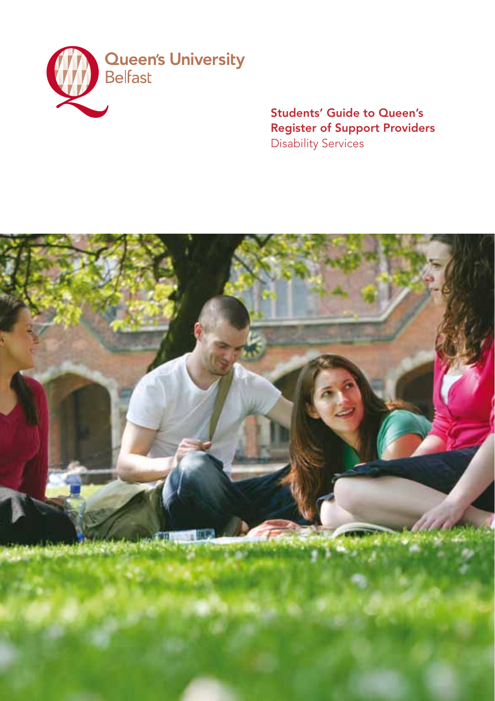

Students' Guide to Queen's Register of Support Providers Disability Services

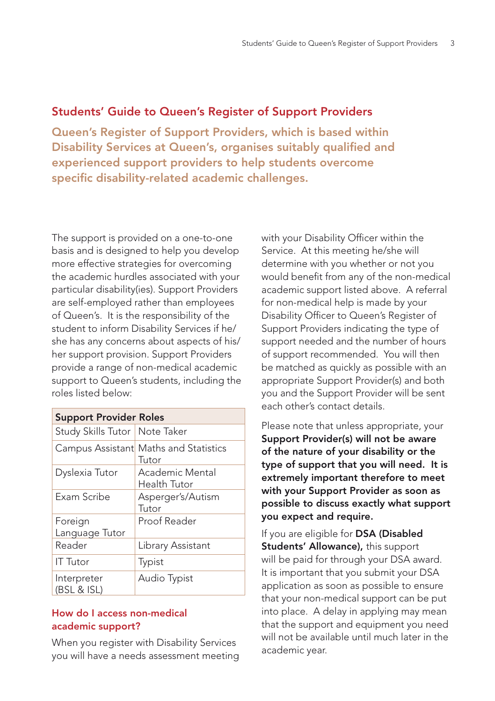# Students' Guide to Queen's Register of Support Providers

Queen's Register of Support Providers, which is based within Disability Services at Queen's, organises suitably qualified and experienced support providers to help students overcome specific disability-related academic challenges.

The support is provided on a one-to-one basis and is designed to help you develop more effective strategies for overcoming the academic hurdles associated with your particular disability(ies). Support Providers are self-employed rather than employees of Queen's. It is the responsibility of the student to inform Disability Services if he/ she has any concerns about aspects of his/ her support provision. Support Providers provide a range of non-medical academic support to Queen's students, including the roles listed below:

| <b>Support Provider Roles</b>   |                                                |
|---------------------------------|------------------------------------------------|
| Study Skills Tutor   Note Taker |                                                |
|                                 | Campus Assistant Maths and Statistics<br>Tutor |
| Dyslexia Tutor                  | Academic Mental<br>Health Tutor                |
| Exam Scribe                     | Asperger's/Autism<br>Tutor                     |
| Foreign<br>Language Tutor       | Proof Reader                                   |
| Reader                          | Library Assistant                              |
| <b>IT Tutor</b>                 | <b>Typist</b>                                  |
| Interpreter<br>(BSL & ISL)      | Audio Typist                                   |

### How do I access non-medical academic support?

When you register with Disability Services you will have a needs assessment meeting with your Disability Officer within the Service. At this meeting he/she will determine with you whether or not you would benefit from any of the non-medical academic support listed above. A referral for non-medical help is made by your Disability Officer to Queen's Register of Support Providers indicating the type of support needed and the number of hours of support recommended. You will then be matched as quickly as possible with an appropriate Support Provider(s) and both you and the Support Provider will be sent each other's contact details.

Please note that unless appropriate, your Support Provider(s) will not be aware of the nature of your disability or the type of support that you will need. It is extremely important therefore to meet with your Support Provider as soon as possible to discuss exactly what support you expect and require.

If you are eligible for DSA (Disabled Students' Allowance), this support will be paid for through your DSA award. It is important that you submit your DSA application as soon as possible to ensure that your non-medical support can be put into place. A delay in applying may mean that the support and equipment you need will not be available until much later in the academic year.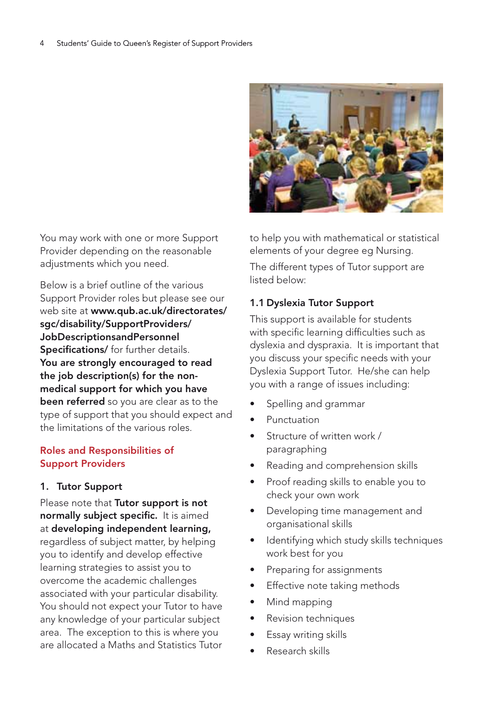You may work with one or more Support Provider depending on the reasonable adjustments which you need.

Below is a brief outline of the various Support Provider roles but please see our web site at www.qub.ac.uk/directorates/ sgc/disability/SupportProviders/ JobDescriptionsandPersonnel Specifications/ for further details. You are strongly encouraged to read the job description(s) for the nonmedical support for which you have been referred so you are clear as to the type of support that you should expect and the limitations of the various roles.

## Roles and Responsibilities of Support Providers

### 1. Tutor Support

Please note that Tutor support is not normally subject specific. It is aimed at developing independent learning, regardless of subject matter, by helping you to identify and develop effective learning strategies to assist you to overcome the academic challenges associated with your particular disability. You should not expect your Tutor to have any knowledge of your particular subject area. The exception to this is where you are allocated a Maths and Statistics Tutor



to help you with mathematical or statistical elements of your degree eg Nursing. The different types of Tutor support are listed below:

### 1.1 Dyslexia Tutor Support

This support is available for students with specific learning difficulties such as dyslexia and dyspraxia. It is important that you discuss your specific needs with your Dyslexia Support Tutor. He/she can help you with a range of issues including:

- Spelling and grammar
- Punctuation
- Structure of written work / paragraphing
- Reading and comprehension skills
- Proof reading skills to enable you to check your own work
- Developing time management and organisational skills
- Identifying which study skills techniques work best for you
- Preparing for assignments
- Effective note taking methods
- Mind mapping
- Revision techniques
- Essay writing skills
- Research skills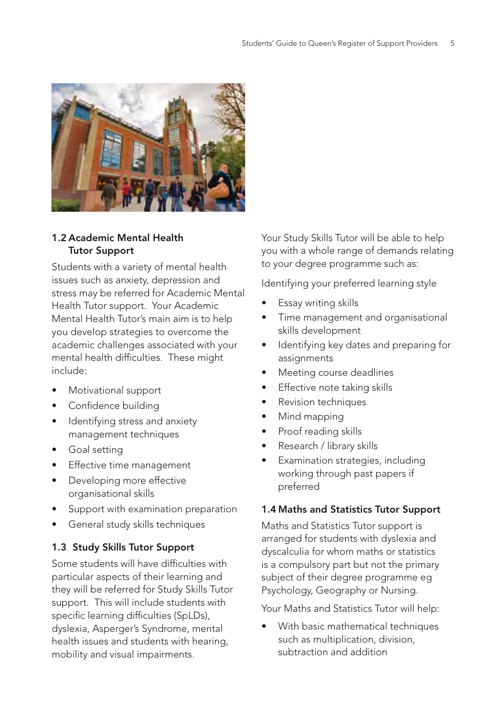

# 1.2 Academic Mental Health Tutor Support

Students with a variety of mental health issues such as anxiety, depression and stress may be referred for Academic Mental Health Tutor support. Your Academic Mental Health Tutor's main aim is to help you develop strategies to overcome the academic challenges associated with your mental health difficulties. These might include:

- Motivational support
- Confidence building
- Identifying stress and anxiety management techniques
- Goal setting
- Effective time management
- Developing more effective organisational skills
- Support with examination preparation
- General study skills techniques

# 1.3 Study Skills Tutor Support

Some students will have difficulties with particular aspects of their learning and they will be referred for Study Skills Tutor support. This will include students with specific learning difficulties (SpLDs), dyslexia, Asperger's Syndrome, mental health issues and students with hearing, mobility and visual impairments.

Your Study Skills Tutor will be able to help you with a whole range of demands relating to your degree programme such as:

Identifying your preferred learning style

- Essay writing skills
- Time management and organisational skills development
- Identifying key dates and preparing for assignments
- Meeting course deadlines
- Effective note taking skills
- Revision techniques
- Mind mapping
- Proof reading skills
- Research / library skills
- Examination strategies, including working through past papers if preferred

## 1.4 Maths and Statistics Tutor Support

Maths and Statistics Tutor support is arranged for students with dyslexia and dyscalculia for whom maths or statistics is a compulsory part but not the primary subject of their degree programme eg Psychology, Geography or Nursing.

Your Maths and Statistics Tutor will help:

With basic mathematical techniques such as multiplication, division, subtraction and addition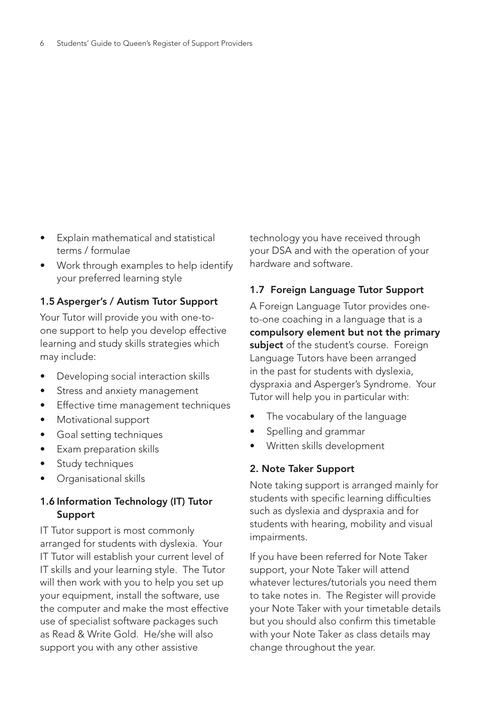- **Explain mathematical and statistical** terms / formulae
- Work through examples to help identify your preferred learning style

## 1.5 Asperger's / Autism Tutor Support

Your Tutor will provide you with one-toone support to help you develop effective learning and study skills strategies which may include:

- Developing social interaction skills
- Stress and anxiety management
- Effective time management techniques
- Motivational support
- Goal setting techniques
- Exam preparation skills
- Study techniques
- Organisational skills

# 1.6 Information Technology (IT) Tutor Support

IT Tutor support is most commonly arranged for students with dyslexia. Your IT Tutor will establish your current level of IT skills and your learning style. The Tutor will then work with you to help you set up your equipment, install the software, use the computer and make the most effective use of specialist software packages such as Read & Write Gold. He/she will also support you with any other assistive

technology you have received through your DSA and with the operation of your hardware and software.

# 1.7 Foreign Language Tutor Support

A Foreign Language Tutor provides oneto-one coaching in a language that is a compulsory element but not the primary subject of the student's course. Foreign Language Tutors have been arranged in the past for students with dyslexia, dyspraxia and Asperger's Syndrome. Your Tutor will help you in particular with:

- The vocabulary of the language
- Spelling and grammar
- Written skills development

## 2. Note Taker Support

Note taking support is arranged mainly for students with specific learning difficulties such as dyslexia and dyspraxia and for students with hearing, mobility and visual impairments.

If you have been referred for Note Taker support, your Note Taker will attend whatever lectures/tutorials you need them to take notes in. The Register will provide your Note Taker with your timetable details but you should also confirm this timetable with your Note Taker as class details may change throughout the year.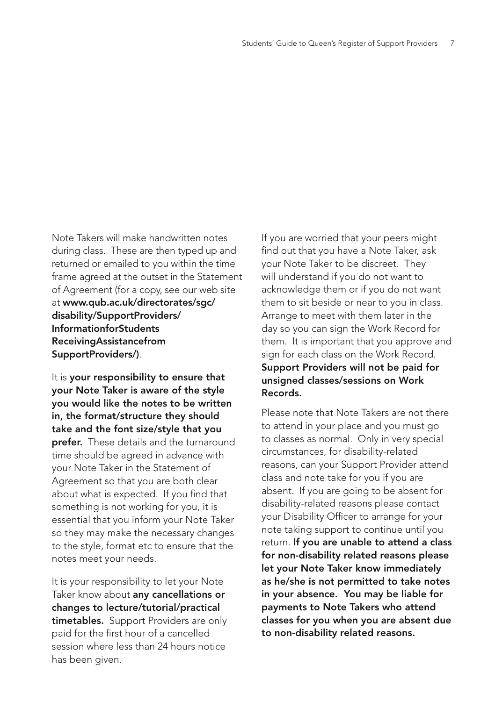Note Takers will make handwritten notes during class. These are then typed up and returned or emailed to you within the time frame agreed at the outset in the Statement of Agreement (for a copy, see our web site at www.qub.ac.uk/directorates/sgc/ disability/SupportProviders/ InformationforStudents ReceivingAssistancefrom SupportProviders/).

It is your responsibility to ensure that your Note Taker is aware of the style you would like the notes to be written in, the format/structure they should take and the font size/style that you prefer. These details and the turnaround time should be agreed in advance with your Note Taker in the Statement of Agreement so that you are both clear about what is expected. If you find that something is not working for you, it is essential that you inform your Note Taker so they may make the necessary changes to the style, format etc to ensure that the notes meet your needs.

It is your responsibility to let your Note Taker know about any cancellations or changes to lecture/tutorial/practical timetables. Support Providers are only paid for the first hour of a cancelled session where less than 24 hours notice has been given.

If you are worried that your peers might find out that you have a Note Taker, ask your Note Taker to be discreet. They will understand if you do not want to acknowledge them or if you do not want them to sit beside or near to you in class. Arrange to meet with them later in the day so you can sign the Work Record for them. It is important that you approve and sign for each class on the Work Record. Support Providers will not be paid for unsigned classes/sessions on Work Records.

Please note that Note Takers are not there to attend in your place and you must go to classes as normal. Only in very special circumstances, for disability-related reasons, can your Support Provider attend class and note take for you if you are absent. If you are going to be absent for disability-related reasons please contact your Disability Officer to arrange for your note taking support to continue until you return. If you are unable to attend a class for non-disability related reasons please let your Note Taker know immediately as he/she is not permitted to take notes in your absence. You may be liable for payments to Note Takers who attend classes for you when you are absent due to non-disability related reasons.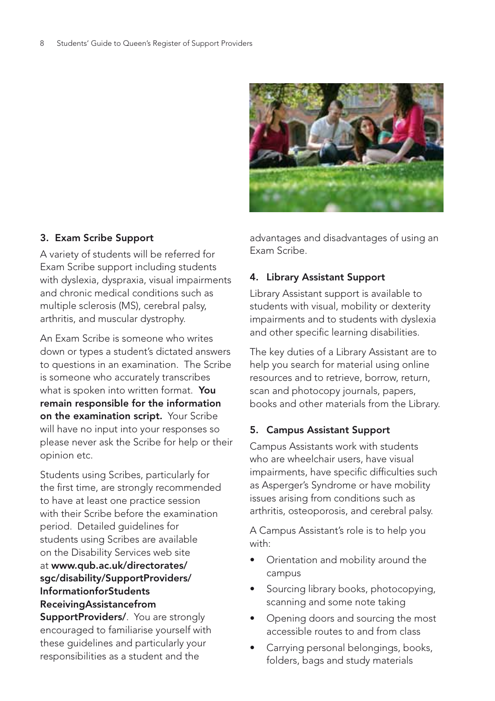

### 3. Exam Scribe Support

A variety of students will be referred for Exam Scribe support including students with dyslexia, dyspraxia, visual impairments and chronic medical conditions such as multiple sclerosis (MS), cerebral palsy, arthritis, and muscular dystrophy.

An Exam Scribe is someone who writes down or types a student's dictated answers to questions in an examination. The Scribe is someone who accurately transcribes what is spoken into written format. You remain responsible for the information on the examination script. Your Scribe will have no input into your responses so please never ask the Scribe for help or their opinion etc.

Students using Scribes, particularly for the first time, are strongly recommended to have at least one practice session with their Scribe before the examination period. Detailed guidelines for students using Scribes are available on the Disability Services web site at www.qub.ac.uk/directorates/ sgc/disability/SupportProviders/ InformationforStudents ReceivingAssistancefrom

SupportProviders/. You are strongly encouraged to familiarise yourself with these guidelines and particularly your responsibilities as a student and the

advantages and disadvantages of using an Exam Scribe.

## 4. Library Assistant Support

Library Assistant support is available to students with visual, mobility or dexterity impairments and to students with dyslexia and other specific learning disabilities.

The key duties of a Library Assistant are to help you search for material using online resources and to retrieve, borrow, return, scan and photocopy journals, papers, books and other materials from the Library.

### 5. Campus Assistant Support

Campus Assistants work with students who are wheelchair users, have visual impairments, have specific difficulties such as Asperger's Syndrome or have mobility issues arising from conditions such as arthritis, osteoporosis, and cerebral palsy.

A Campus Assistant's role is to help you with:

- Orientation and mobility around the campus
- Sourcing library books, photocopying, scanning and some note taking
- Opening doors and sourcing the most accessible routes to and from class
- Carrying personal belongings, books, folders, bags and study materials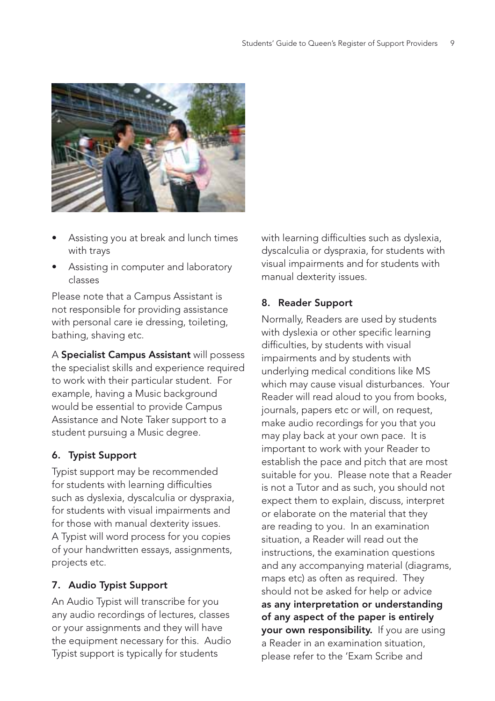

- Assisting you at break and lunch times with trays
- Assisting in computer and laboratory classes

Please note that a Campus Assistant is not responsible for providing assistance with personal care ie dressing, toileting, bathing, shaving etc.

A Specialist Campus Assistant will possess the specialist skills and experience required to work with their particular student. For example, having a Music background would be essential to provide Campus Assistance and Note Taker support to a student pursuing a Music degree.

## 6. Typist Support

Typist support may be recommended for students with learning difficulties such as dyslexia, dyscalculia or dyspraxia, for students with visual impairments and for those with manual dexterity issues. A Typist will word process for you copies of your handwritten essays, assignments, projects etc.

## 7. Audio Typist Support

An Audio Typist will transcribe for you any audio recordings of lectures, classes or your assignments and they will have the equipment necessary for this. Audio Typist support is typically for students

with learning difficulties such as dyslexia, dyscalculia or dyspraxia, for students with visual impairments and for students with manual dexterity issues.

## 8. Reader Support

Normally, Readers are used by students with dyslexia or other specific learning difficulties, by students with visual impairments and by students with underlying medical conditions like MS which may cause visual disturbances. Your Reader will read aloud to you from books, journals, papers etc or will, on request, make audio recordings for you that you may play back at your own pace. It is important to work with your Reader to establish the pace and pitch that are most suitable for you. Please note that a Reader is not a Tutor and as such, you should not expect them to explain, discuss, interpret or elaborate on the material that they are reading to you. In an examination situation, a Reader will read out the instructions, the examination questions and any accompanying material (diagrams, maps etc) as often as required. They should not be asked for help or advice as any interpretation or understanding of any aspect of the paper is entirely your own responsibility. If you are using a Reader in an examination situation, please refer to the 'Exam Scribe and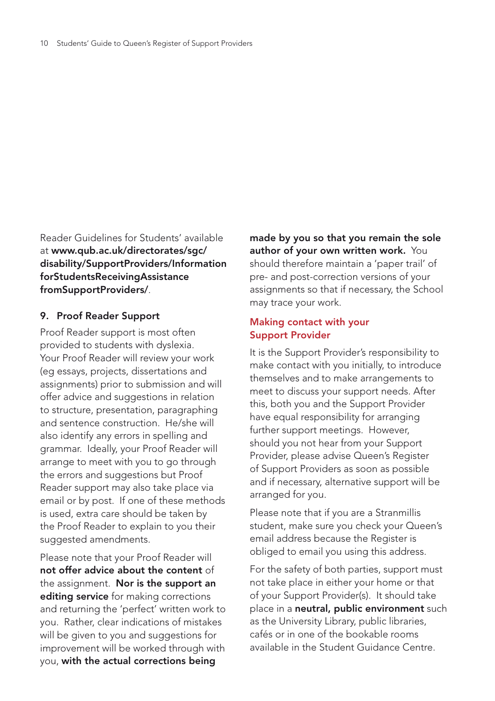Reader Guidelines for Students' available at www.qub.ac.uk/directorates/sgc/ disability/SupportProviders/Information forStudentsReceivingAssistance fromSupportProviders/.

#### 9. Proof Reader Support

Proof Reader support is most often provided to students with dyslexia. Your Proof Reader will review your work (eg essays, projects, dissertations and assignments) prior to submission and will offer advice and suggestions in relation to structure, presentation, paragraphing and sentence construction. He/she will also identify any errors in spelling and grammar. Ideally, your Proof Reader will arrange to meet with you to go through the errors and suggestions but Proof Reader support may also take place via email or by post. If one of these methods is used, extra care should be taken by the Proof Reader to explain to you their suggested amendments.

Please note that your Proof Reader will not offer advice about the content of the assignment. Nor is the support an editing service for making corrections and returning the 'perfect' written work to you. Rather, clear indications of mistakes will be given to you and suggestions for improvement will be worked through with you, with the actual corrections being

made by you so that you remain the sole author of your own written work. You should therefore maintain a 'paper trail' of pre- and post-correction versions of your assignments so that if necessary, the School may trace your work.

### Making contact with your Support Provider

It is the Support Provider's responsibility to make contact with you initially, to introduce themselves and to make arrangements to meet to discuss your support needs. After this, both you and the Support Provider have equal responsibility for arranging further support meetings. However, should you not hear from your Support Provider, please advise Queen's Register of Support Providers as soon as possible and if necessary, alternative support will be arranged for you.

Please note that if you are a Stranmillis student, make sure you check your Queen's email address because the Register is obliged to email you using this address.

For the safety of both parties, support must not take place in either your home or that of your Support Provider(s). It should take place in a neutral, public environment such as the University Library, public libraries, cafés or in one of the bookable rooms available in the Student Guidance Centre.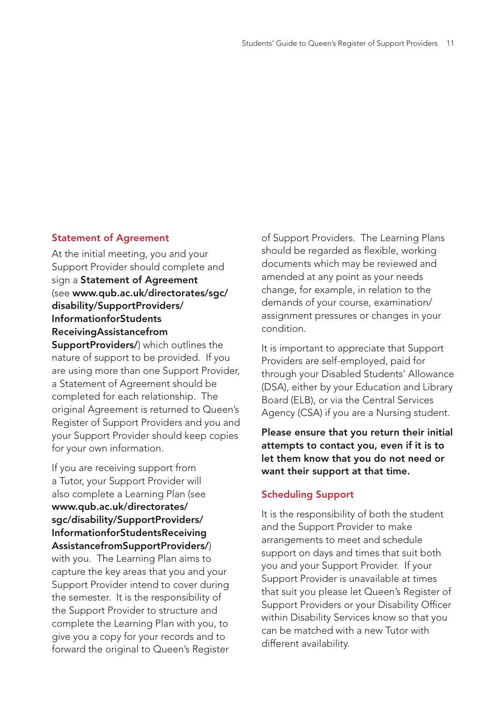#### Statement of Agreement

At the initial meeting, you and your Support Provider should complete and sign a Statement of Agreement (see www.qub.ac.uk/directorates/sgc/ disability/SupportProviders/ InformationforStudents ReceivingAssistancefrom

SupportProviders/) which outlines the nature of support to be provided. If you are using more than one Support Provider, a Statement of Agreement should be completed for each relationship. The original Agreement is returned to Queen's Register of Support Providers and you and your Support Provider should keep copies for your own information.

If you are receiving support from a Tutor, your Support Provider will also complete a Learning Plan (see www.qub.ac.uk/directorates/ sgc/disability/SupportProviders/ InformationforStudentsReceiving AssistancefromSupportProviders/)

with you. The Learning Plan aims to capture the key areas that you and your Support Provider intend to cover during the semester. It is the responsibility of the Support Provider to structure and complete the Learning Plan with you, to give you a copy for your records and to forward the original to Queen's Register

of Support Providers. The Learning Plans should be regarded as flexible, working documents which may be reviewed and amended at any point as your needs change, for example, in relation to the demands of your course, examination/ assignment pressures or changes in your condition.

It is important to appreciate that Support Providers are self-employed, paid for through your Disabled Students' Allowance (DSA), either by your Education and Library Board (ELB), or via the Central Services Agency (CSA) if you are a Nursing student.

Please ensure that you return their initial attempts to contact you, even if it is to let them know that you do not need or want their support at that time.

### Scheduling Support

It is the responsibility of both the student and the Support Provider to make arrangements to meet and schedule support on days and times that suit both you and your Support Provider. If your Support Provider is unavailable at times that suit you please let Queen's Register of Support Providers or your Disability Officer within Disability Services know so that you can be matched with a new Tutor with different availability.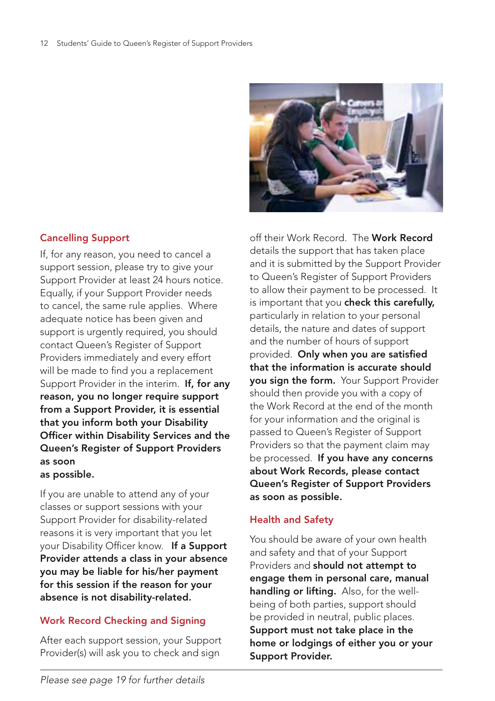

# Cancelling Support

If, for any reason, you need to cancel a support session, please try to give your Support Provider at least 24 hours notice. Equally, if your Support Provider needs to cancel, the same rule applies. Where adequate notice has been given and support is urgently required, you should contact Queen's Register of Support Providers immediately and every effort will be made to find you a replacement Support Provider in the interim. If, for any reason, you no longer require support from a Support Provider, it is essential that you inform both your Disability Officer within Disability Services and the Queen's Register of Support Providers as soon as possible.

If you are unable to attend any of your classes or support sessions with your Support Provider for disability-related reasons it is very important that you let your Disability Officer know. If a Support Provider attends a class in your absence you may be liable for his/her payment for this session if the reason for your absence is not disability-related.

## Work Record Checking and Signing

After each support session, your Support Provider(s) will ask you to check and sign

off their Work Record. The Work Record details the support that has taken place and it is submitted by the Support Provider to Queen's Register of Support Providers to allow their payment to be processed. It is important that you check this carefully, particularly in relation to your personal details, the nature and dates of support and the number of hours of support provided. Only when you are satisfied that the information is accurate should you sign the form. Your Support Provider should then provide you with a copy of the Work Record at the end of the month for your information and the original is passed to Queen's Register of Support Providers so that the payment claim may be processed. If you have any concerns about Work Records, please contact Queen's Register of Support Providers as soon as possible.

## Health and Safety

You should be aware of your own health and safety and that of your Support Providers and should not attempt to engage them in personal care, manual handling or lifting. Also, for the wellbeing of both parties, support should be provided in neutral, public places. Support must not take place in the home or lodgings of either you or your Support Provider.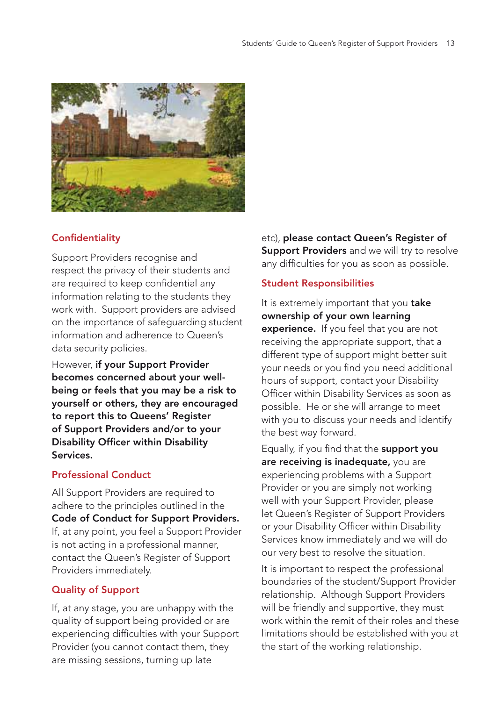

### **Confidentiality**

Support Providers recognise and respect the privacy of their students and are required to keep confidential any information relating to the students they work with. Support providers are advised on the importance of safeguarding student information and adherence to Queen's data security policies.

However, if your Support Provider becomes concerned about your wellbeing or feels that you may be a risk to yourself or others, they are encouraged to report this to Queens' Register of Support Providers and/or to your Disability Officer within Disability Services.

## Professional Conduct

All Support Providers are required to adhere to the principles outlined in the Code of Conduct for Support Providers. If, at any point, you feel a Support Provider is not acting in a professional manner, contact the Queen's Register of Support Providers immediately.

### Quality of Support

If, at any stage, you are unhappy with the quality of support being provided or are experiencing difficulties with your Support Provider (you cannot contact them, they are missing sessions, turning up late

etc), please contact Queen's Register of **Support Providers** and we will try to resolve any difficulties for you as soon as possible.

### Student Responsibilities

It is extremely important that you take ownership of your own learning experience. If you feel that you are not receiving the appropriate support, that a different type of support might better suit your needs or you find you need additional hours of support, contact your Disability Officer within Disability Services as soon as possible. He or she will arrange to meet with you to discuss your needs and identify the best way forward.

Equally, if you find that the support you are receiving is inadequate, you are experiencing problems with a Support Provider or you are simply not working well with your Support Provider, please let Queen's Register of Support Providers or your Disability Officer within Disability Services know immediately and we will do our very best to resolve the situation.

It is important to respect the professional boundaries of the student/Support Provider relationship. Although Support Providers will be friendly and supportive, they must work within the remit of their roles and these limitations should be established with you at the start of the working relationship.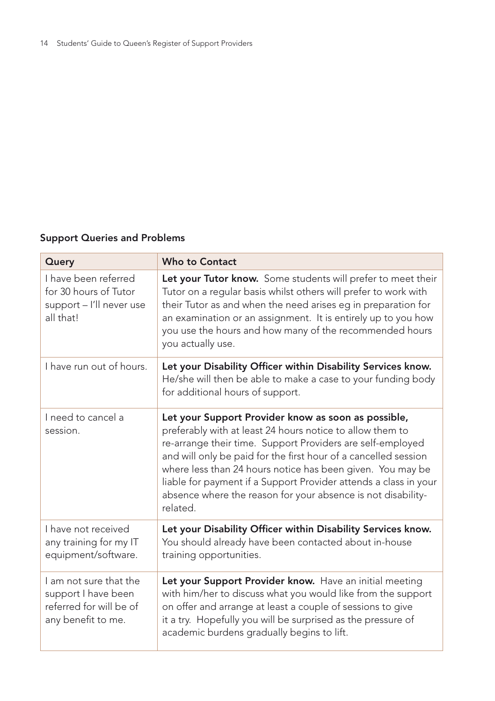# Support Queries and Problems

| Query                                                                                          | <b>Who to Contact</b>                                                                                                                                                                                                                                                                                                                                                                                                                                          |
|------------------------------------------------------------------------------------------------|----------------------------------------------------------------------------------------------------------------------------------------------------------------------------------------------------------------------------------------------------------------------------------------------------------------------------------------------------------------------------------------------------------------------------------------------------------------|
| I have been referred<br>for 30 hours of Tutor<br>support - I'll never use<br>all that!         | Let your Tutor know. Some students will prefer to meet their<br>Tutor on a regular basis whilst others will prefer to work with<br>their Tutor as and when the need arises eg in preparation for<br>an examination or an assignment. It is entirely up to you how<br>you use the hours and how many of the recommended hours<br>you actually use.                                                                                                              |
| I have run out of hours.                                                                       | Let your Disability Officer within Disability Services know.<br>He/she will then be able to make a case to your funding body<br>for additional hours of support.                                                                                                                                                                                                                                                                                               |
| I need to cancel a<br>session                                                                  | Let your Support Provider know as soon as possible,<br>preferably with at least 24 hours notice to allow them to<br>re-arrange their time. Support Providers are self-employed<br>and will only be paid for the first hour of a cancelled session<br>where less than 24 hours notice has been given. You may be<br>liable for payment if a Support Provider attends a class in your<br>absence where the reason for your absence is not disability-<br>related |
| I have not received<br>any training for my IT<br>equipment/software.                           | Let your Disability Officer within Disability Services know.<br>You should already have been contacted about in-house<br>training opportunities.                                                                                                                                                                                                                                                                                                               |
| I am not sure that the<br>support I have been<br>referred for will be of<br>any benefit to me. | Let your Support Provider know. Have an initial meeting<br>with him/her to discuss what you would like from the support<br>on offer and arrange at least a couple of sessions to give<br>it a try. Hopefully you will be surprised as the pressure of<br>academic burdens gradually begins to lift.                                                                                                                                                            |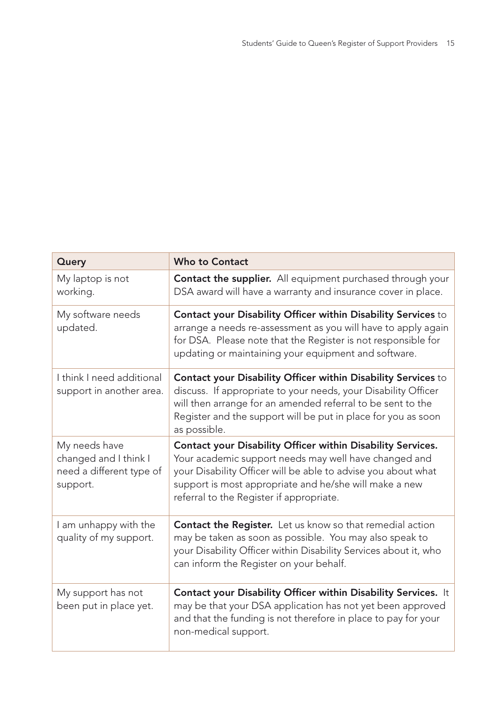| Query                                                                          | <b>Who to Contact</b>                                                                                                                                                                                                                                                                       |
|--------------------------------------------------------------------------------|---------------------------------------------------------------------------------------------------------------------------------------------------------------------------------------------------------------------------------------------------------------------------------------------|
| My laptop is not<br>working.                                                   | <b>Contact the supplier.</b> All equipment purchased through your<br>DSA award will have a warranty and insurance cover in place.                                                                                                                                                           |
| My software needs<br>updated.                                                  | Contact your Disability Officer within Disability Services to<br>arrange a needs re-assessment as you will have to apply again<br>for DSA. Please note that the Register is not responsible for<br>updating or maintaining your equipment and software.                                     |
| I think I need additional<br>support in another area.                          | Contact your Disability Officer within Disability Services to<br>discuss. If appropriate to your needs, your Disability Officer<br>will then arrange for an amended referral to be sent to the<br>Register and the support will be put in place for you as soon<br>as possible.             |
| My needs have<br>changed and I think I<br>need a different type of<br>support. | Contact your Disability Officer within Disability Services.<br>Your academic support needs may well have changed and<br>your Disability Officer will be able to advise you about what<br>support is most appropriate and he/she will make a new<br>referral to the Register if appropriate. |
| I am unhappy with the<br>quality of my support.                                | <b>Contact the Register.</b> Let us know so that remedial action<br>may be taken as soon as possible. You may also speak to<br>your Disability Officer within Disability Services about it, who<br>can inform the Register on your behalf.                                                  |
| My support has not<br>been put in place yet.                                   | Contact your Disability Officer within Disability Services. It<br>may be that your DSA application has not yet been approved<br>and that the funding is not therefore in place to pay for your<br>non-medical support.                                                                      |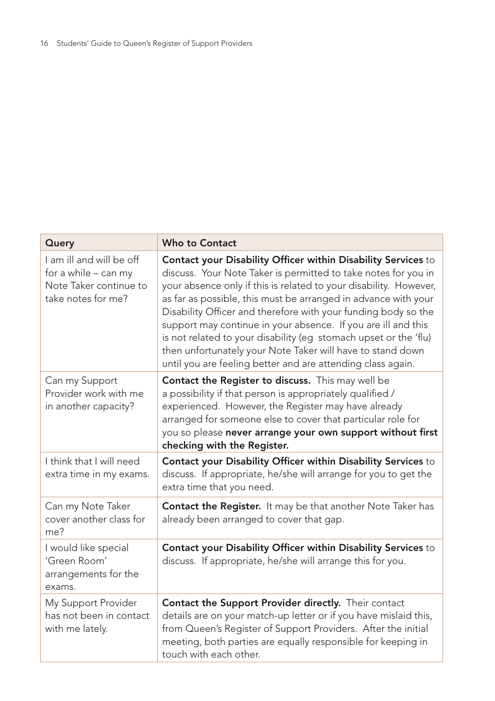| Query                                                                                            | <b>Who to Contact</b>                                                                                                                                                                                                                                                                                                                                                                                                                                                                                                                                                                                             |
|--------------------------------------------------------------------------------------------------|-------------------------------------------------------------------------------------------------------------------------------------------------------------------------------------------------------------------------------------------------------------------------------------------------------------------------------------------------------------------------------------------------------------------------------------------------------------------------------------------------------------------------------------------------------------------------------------------------------------------|
| I am ill and will be off<br>for a while – can my<br>Note Taker continue to<br>take notes for me? | <b>Contact your Disability Officer within Disability Services to</b><br>discuss. Your Note Taker is permitted to take notes for you in<br>your absence only if this is related to your disability. However,<br>as far as possible, this must be arranged in advance with your<br>Disability Officer and therefore with your funding body so the<br>support may continue in your absence. If you are ill and this<br>is not related to your disability (eg stomach upset or the 'flu)<br>then unfortunately your Note Taker will have to stand down<br>until you are feeling better and are attending class again. |
| Can my Support<br>Provider work with me<br>in another capacity?                                  | Contact the Register to discuss. This may well be<br>a possibility if that person is appropriately qualified /<br>experienced. However, the Register may have already<br>arranged for someone else to cover that particular role for<br>you so please never arrange your own support without first<br>checking with the Register.                                                                                                                                                                                                                                                                                 |
| I think that I will need<br>extra time in my exams.                                              | Contact your Disability Officer within Disability Services to<br>discuss. If appropriate, he/she will arrange for you to get the<br>extra time that you need.                                                                                                                                                                                                                                                                                                                                                                                                                                                     |
| Can my Note Taker<br>cover another class for<br>me?                                              | <b>Contact the Register.</b> It may be that another Note Taker has<br>already been arranged to cover that gap.                                                                                                                                                                                                                                                                                                                                                                                                                                                                                                    |
| I would like special<br>'Green Room'<br>arrangements for the<br>exams.                           | Contact your Disability Officer within Disability Services to<br>discuss. If appropriate, he/she will arrange this for you.                                                                                                                                                                                                                                                                                                                                                                                                                                                                                       |
| My Support Provider<br>has not been in contact<br>with me lately.                                | Contact the Support Provider directly. Their contact<br>details are on your match-up letter or if you have mislaid this,<br>from Queen's Register of Support Providers. After the initial<br>meeting, both parties are equally responsible for keeping in<br>touch with each other.                                                                                                                                                                                                                                                                                                                               |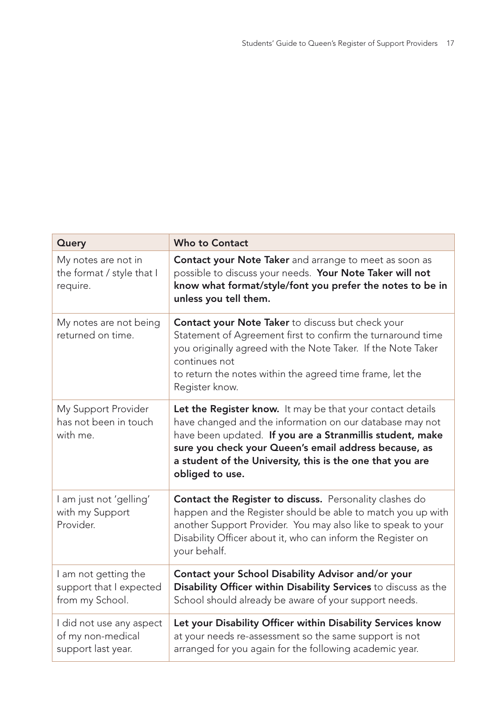| Query                                                               | <b>Who to Contact</b>                                                                                                                                                                                                                                                                                                        |
|---------------------------------------------------------------------|------------------------------------------------------------------------------------------------------------------------------------------------------------------------------------------------------------------------------------------------------------------------------------------------------------------------------|
| My notes are not in<br>the format / style that I<br>require.        | <b>Contact your Note Taker</b> and arrange to meet as soon as<br>possible to discuss your needs. Your Note Taker will not<br>know what format/style/font you prefer the notes to be in<br>unless you tell them.                                                                                                              |
| My notes are not being<br>returned on time.                         | <b>Contact your Note Taker</b> to discuss but check your<br>Statement of Agreement first to confirm the turnaround time<br>you originally agreed with the Note Taker. If the Note Taker<br>continues not<br>to return the notes within the agreed time frame, let the<br>Register know.                                      |
| My Support Provider<br>has not been in touch<br>with me.            | Let the Register know. It may be that your contact details<br>have changed and the information on our database may not<br>have been updated. If you are a Stranmillis student, make<br>sure you check your Queen's email address because, as<br>a student of the University, this is the one that you are<br>obliged to use. |
| I am just not 'gelling'<br>with my Support<br>Provider.             | Contact the Register to discuss. Personality clashes do<br>happen and the Register should be able to match you up with<br>another Support Provider. You may also like to speak to your<br>Disability Officer about it, who can inform the Register on<br>your behalf.                                                        |
| I am not getting the<br>support that I expected<br>from my School.  | Contact your School Disability Advisor and/or your<br>Disability Officer within Disability Services to discuss as the<br>School should already be aware of your support needs.                                                                                                                                               |
| I did not use any aspect<br>of my non-medical<br>support last year. | Let your Disability Officer within Disability Services know<br>at your needs re-assessment so the same support is not<br>arranged for you again for the following academic year.                                                                                                                                             |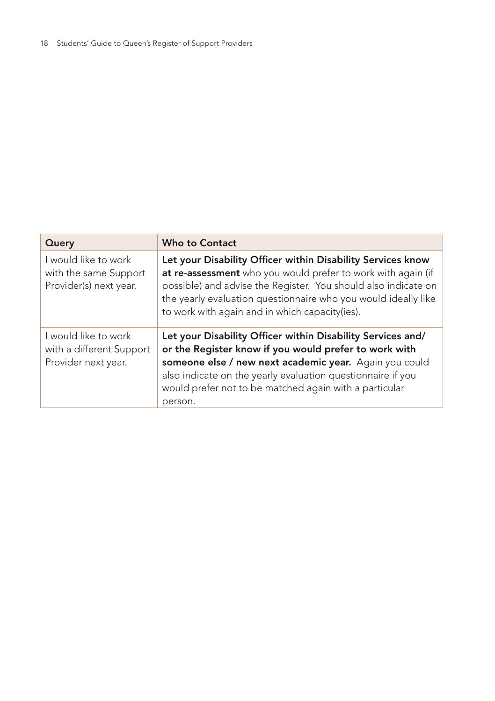| Query                                                                   | <b>Who to Contact</b>                                                                                                                                                                                                                                                                                              |
|-------------------------------------------------------------------------|--------------------------------------------------------------------------------------------------------------------------------------------------------------------------------------------------------------------------------------------------------------------------------------------------------------------|
| I would like to work<br>with the same Support<br>Provider(s) next year. | Let your Disability Officer within Disability Services know<br>at re-assessment who you would prefer to work with again (if<br>possible) and advise the Register. You should also indicate on<br>the yearly evaluation questionnaire who you would ideally like<br>to work with again and in which capacity(ies).  |
| I would like to work<br>with a different Support<br>Provider next year. | Let your Disability Officer within Disability Services and/<br>or the Register know if you would prefer to work with<br>someone else / new next academic year. Again you could<br>also indicate on the yearly evaluation questionnaire if you<br>would prefer not to be matched again with a particular<br>person. |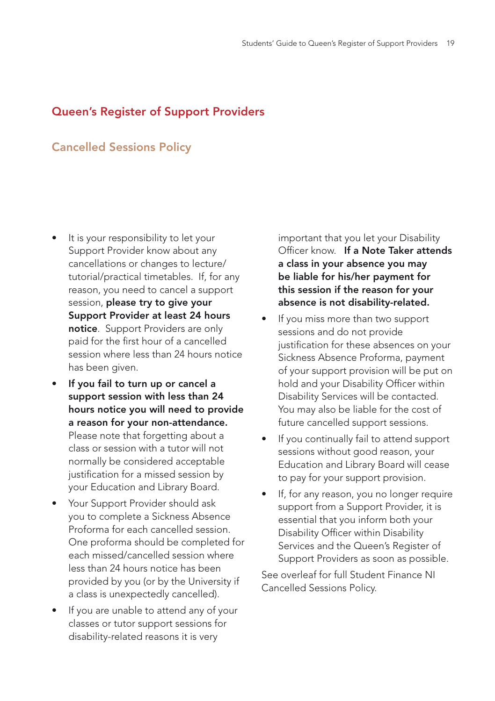# Queen's Register of Support Providers

# Cancelled Sessions Policy

- It is your responsibility to let your Support Provider know about any cancellations or changes to lecture/ tutorial/practical timetables. If, for any reason, you need to cancel a support session, please try to give your Support Provider at least 24 hours notice. Support Providers are only paid for the first hour of a cancelled session where less than 24 hours notice has been given.
- If you fail to turn up or cancel a support session with less than 24 hours notice you will need to provide a reason for your non-attendance. Please note that forgetting about a class or session with a tutor will not normally be considered acceptable justification for a missed session by your Education and Library Board.
- Your Support Provider should ask you to complete a Sickness Absence Proforma for each cancelled session. One proforma should be completed for each missed/cancelled session where less than 24 hours notice has been provided by you (or by the University if a class is unexpectedly cancelled).
- If you are unable to attend any of your classes or tutor support sessions for disability-related reasons it is very

important that you let your Disability Officer know. If a Note Taker attends a class in your absence you may be liable for his/her payment for this session if the reason for your absence is not disability-related.

- If you miss more than two support sessions and do not provide justification for these absences on your Sickness Absence Proforma, payment of your support provision will be put on hold and your Disability Officer within Disability Services will be contacted. You may also be liable for the cost of future cancelled support sessions.
- If you continually fail to attend support sessions without good reason, your Education and Library Board will cease to pay for your support provision.
- If, for any reason, you no longer require support from a Support Provider, it is essential that you inform both your Disability Officer within Disability Services and the Queen's Register of Support Providers as soon as possible.

See overleaf for full Student Finance NI Cancelled Sessions Policy.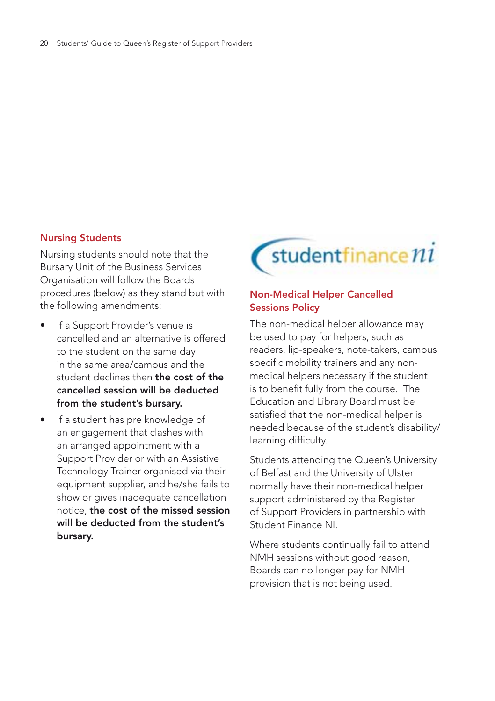#### Nursing Students

Nursing students should note that the Bursary Unit of the Business Services Organisation will follow the Boards procedures (below) as they stand but with the following amendments:

- If a Support Provider's venue is cancelled and an alternative is offered to the student on the same day in the same area/campus and the student declines then the cost of the cancelled session will be deducted from the student's bursary.
- If a student has pre knowledge of an engagement that clashes with an arranged appointment with a Support Provider or with an Assistive Technology Trainer organised via their equipment supplier, and he/she fails to show or gives inadequate cancellation notice, the cost of the missed session will be deducted from the student's bursary.

studentfinance ni

## Non-Medical Helper Cancelled Sessions Policy

The non-medical helper allowance may be used to pay for helpers, such as readers, lip-speakers, note-takers, campus specific mobility trainers and any nonmedical helpers necessary if the student is to benefit fully from the course. The Education and Library Board must be satisfied that the non-medical helper is needed because of the student's disability/ learning difficulty.

Students attending the Queen's University of Belfast and the University of Ulster normally have their non-medical helper support administered by the Register of Support Providers in partnership with Student Finance NI.

Where students continually fail to attend NMH sessions without good reason, Boards can no longer pay for NMH provision that is not being used.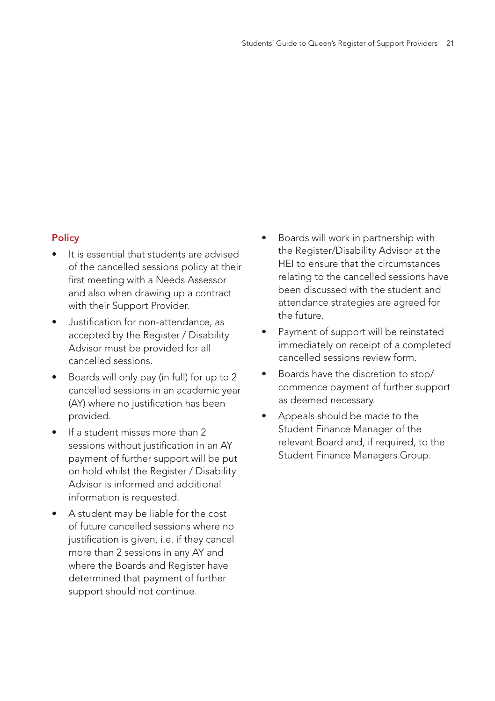# **Policy**

- It is essential that students are advised of the cancelled sessions policy at their first meeting with a Needs Assessor and also when drawing up a contract with their Support Provider.
- Justification for non-attendance, as accepted by the Register / Disability Advisor must be provided for all cancelled sessions.
- Boards will only pay (in full) for up to 2 cancelled sessions in an academic year (AY) where no justification has been provided.
- If a student misses more than 2 sessions without justification in an AY payment of further support will be put on hold whilst the Register / Disability Advisor is informed and additional information is requested.
- A student may be liable for the cost of future cancelled sessions where no justification is given, i.e. if they cancel more than 2 sessions in any AY and where the Boards and Register have determined that payment of further support should not continue.
- Boards will work in partnership with the Register/Disability Advisor at the HEI to ensure that the circumstances relating to the cancelled sessions have been discussed with the student and attendance strategies are agreed for the future.
- Payment of support will be reinstated immediately on receipt of a completed cancelled sessions review form.
- Boards have the discretion to stop/ commence payment of further support as deemed necessary.
- Appeals should be made to the Student Finance Manager of the relevant Board and, if required, to the Student Finance Managers Group.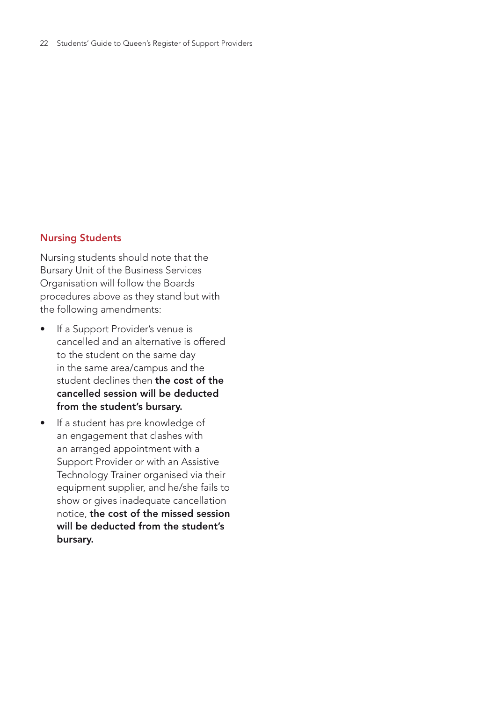#### Nursing Students

Nursing students should note that the Bursary Unit of the Business Services Organisation will follow the Boards procedures above as they stand but with the following amendments:

- If a Support Provider's venue is cancelled and an alternative is offered to the student on the same day in the same area/campus and the student declines then the cost of the cancelled session will be deducted from the student's bursary.
- If a student has pre knowledge of an engagement that clashes with an arranged appointment with a Support Provider or with an Assistive Technology Trainer organised via their equipment supplier, and he/she fails to show or gives inadequate cancellation notice, the cost of the missed session will be deducted from the student's bursary.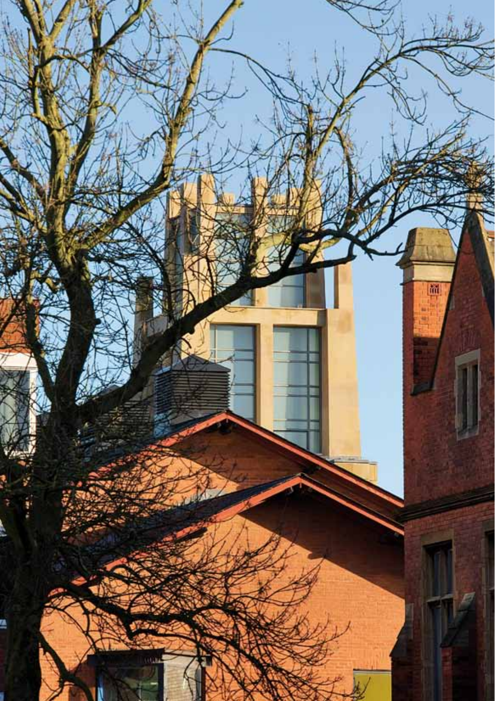